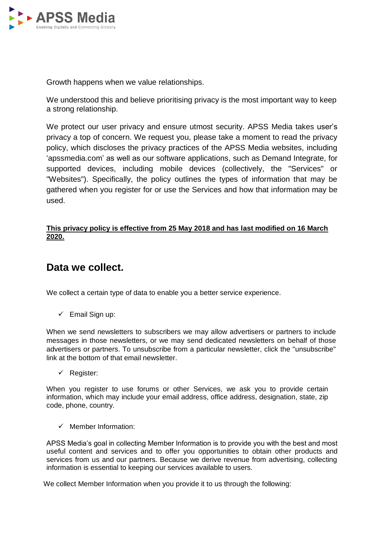

Growth happens when we value relationships.

We understood this and believe prioritising privacy is the most important way to keep a strong relationship.

We protect our user privacy and ensure utmost security. APSS Media takes user's privacy a top of concern. We request you, please take a moment to read the privacy policy, which discloses the privacy practices of the APSS Media websites, including 'apssmedia.com' as well as our software applications, such as Demand Integrate, for supported devices, including mobile devices (collectively, the "Services" or "Websites"). Specifically, the policy outlines the types of information that may be gathered when you register for or use the Services and how that information may be used.

### **This privacy policy is effective from 25 May 2018 and has last modified on 16 March 2020.**

### **Data we collect.**

We collect a certain type of data to enable you a better service experience.

 $\checkmark$  Email Sign up:

When we send newsletters to subscribers we may allow advertisers or partners to include messages in those newsletters, or we may send dedicated newsletters on behalf of those advertisers or partners. To unsubscribe from a particular newsletter, click the "unsubscribe" link at the bottom of that email newsletter.

 $\checkmark$  Register:

When you register to use forums or other Services, we ask you to provide certain information, which may include your email address, office address, designation, state, zip code, phone, country.

 $\checkmark$  Member Information:

APSS Media's goal in collecting Member Information is to provide you with the best and most useful content and services and to offer you opportunities to obtain other products and services from us and our partners. Because we derive revenue from advertising, collecting information is essential to keeping our services available to users.

We collect Member Information when you provide it to us through the following: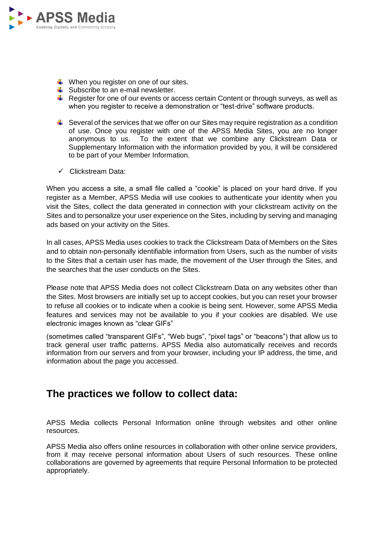

- $\downarrow$  When you register on one of our sites.
- $\overline{\phantom{a}}$  Subscribe to an e-mail newsletter.
- $\ddot{\phantom{1}}$  Register for one of our events or access certain Content or through surveys, as well as when you register to receive a demonstration or "test-drive" software products.
- $\ddot{\phantom{1}}$  Several of the services that we offer on our Sites may require registration as a condition of use. Once you register with one of the APSS Media Sites, you are no longer anonymous to us. To the extent that we combine any Clickstream Data or Supplementary Information with the information provided by you, it will be considered to be part of your Member Information.
- $\checkmark$  Clickstream Data:

When you access a site, a small file called a "cookie" is placed on your hard drive. If you register as a Member, APSS Media will use cookies to authenticate your identity when you visit the Sites, collect the data generated in connection with your clickstream activity on the Sites and to personalize your user experience on the Sites, including by serving and managing ads based on your activity on the Sites.

In all cases, APSS Media uses cookies to track the Clickstream Data of Members on the Sites and to obtain non-personally identifiable information from Users, such as the number of visits to the Sites that a certain user has made, the movement of the User through the Sites, and the searches that the user conducts on the Sites.

Please note that APSS Media does not collect Clickstream Data on any websites other than the Sites. Most browsers are initially set up to accept cookies, but you can reset your browser to refuse all cookies or to indicate when a cookie is being sent. However, some APSS Media features and services may not be available to you if your cookies are disabled. We use electronic images known as "clear GIFs"

(sometimes called "transparent GIFs", "Web bugs", "pixel tags" or "beacons") that allow us to track general user traffic patterns. APSS Media also automatically receives and records information from our servers and from your browser, including your IP address, the time, and information about the page you accessed.

## **The practices we follow to collect data:**

APSS Media collects Personal Information online through websites and other online resources.

APSS Media also offers online resources in collaboration with other online service providers, from it may receive personal information about Users of such resources. These online collaborations are governed by agreements that require Personal Information to be protected appropriately.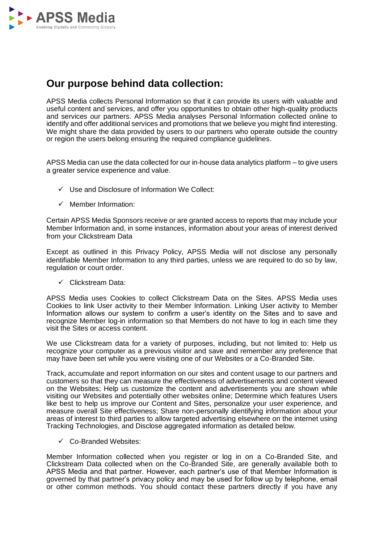

## **Our purpose behind data collection:**

APSS Media collects Personal Information so that it can provide its users with valuable and useful content and services, and offer you opportunities to obtain other high-quality products and services our partners. APSS Media analyses Personal Information collected online to identify and offer additional services and promotions that we believe you might find interesting. We might share the data provided by users to our partners who operate outside the country or region the users belong ensuring the required compliance guidelines.

APSS Media can use the data collected for our in-house data analytics platform – to give users a greater service experience and value.

- $\checkmark$  Use and Disclosure of Information We Collect:
- $\checkmark$  Member Information:

Certain APSS Media Sponsors receive or are granted access to reports that may include your Member Information and, in some instances, information about your areas of interest derived from your Clickstream Data

Except as outlined in this Privacy Policy, APSS Media will not disclose any personally identifiable Member Information to any third parties, unless we are required to do so by law, regulation or court order.

 $\checkmark$  Clickstream Data:

APSS Media uses Cookies to collect Clickstream Data on the Sites. APSS Media uses Cookies to link User activity to their Member Information. Linking User activity to Member Information allows our system to confirm a user's identity on the Sites and to save and recognize Member log-in information so that Members do not have to log in each time they visit the Sites or access content.

We use Clickstream data for a variety of purposes, including, but not limited to: Help us recognize your computer as a previous visitor and save and remember any preference that may have been set while you were visiting one of our Websites or a Co-Branded Site.

Track, accumulate and report information on our sites and content usage to our partners and customers so that they can measure the effectiveness of advertisements and content viewed on the Websites; Help us customize the content and advertisements you are shown while visiting our Websites and potentially other websites online; Determine which features Users like best to help us improve our Content and Sites, personalize your user experience, and measure overall Site effectiveness; Share non-personally identifying information about your areas of interest to third parties to allow targeted advertising elsewhere on the internet using Tracking Technologies, and Disclose aggregated information as detailed below.

 $\checkmark$  Co-Branded Websites:

Member Information collected when you register or log in on a Co-Branded Site, and Clickstream Data collected when on the Co-Branded Site, are generally available both to APSS Media and that partner. However, each partner's use of that Member Information is governed by that partner's privacy policy and may be used for follow up by telephone, email or other common methods. You should contact these partners directly if you have any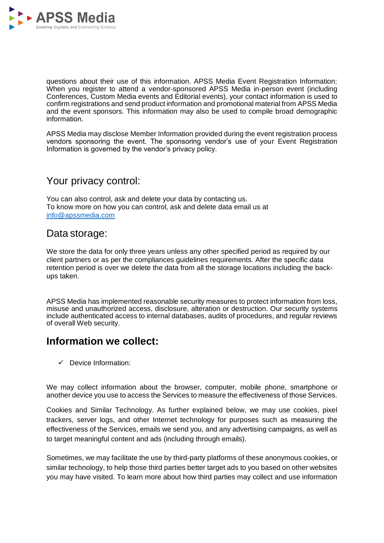

questions about their use of this information. APSS Media Event Registration Information: When you register to attend a vendor-sponsored APSS Media in-person event (including Conferences, Custom Media events and Editorial events), your contact information is used to confirm registrations and send product information and promotional material from APSS Media and the event sponsors. This information may also be used to compile broad demographic information.

APSS Media may disclose Member Information provided during the event registration process vendors sponsoring the event. The sponsoring vendor's use of your Event Registration Information is governed by the vendor's privacy policy.

### Your privacy control:

You can also control, ask and delete your data by contacting us. To know more on how you can control, ask and delete data email us at [info@apssmedia.com](mailto:alert@apssmedia.com)

### Data storage:

We store the data for only three years unless any other specified period as required by our client partners or as per the compliances guidelines requirements. After the specific data retention period is over we delete the data from all the storage locations including the backups taken.

APSS Media has implemented reasonable security measures to protect information from loss, misuse and unauthorized access, disclosure, alteration or destruction. Our security systems include authenticated access to internal databases, audits of procedures, and regular reviews of overall Web security.

## **Information we collect:**

 $\checkmark$  Device Information:

We may collect information about the browser, computer, mobile phone, smartphone or another device you use to access the Services to measure the effectiveness of those Services.

Cookies and Similar Technology. As further explained below, we may use cookies, pixel trackers, server logs, and other Internet technology for purposes such as measuring the effectiveness of the Services, emails we send you, and any advertising campaigns, as well as to target meaningful content and ads (including through emails).

Sometimes, we may facilitate the use by third-party platforms of these anonymous cookies, or similar technology, to help those third parties better target ads to you based on other websites you may have visited. To learn more about how third parties may collect and use information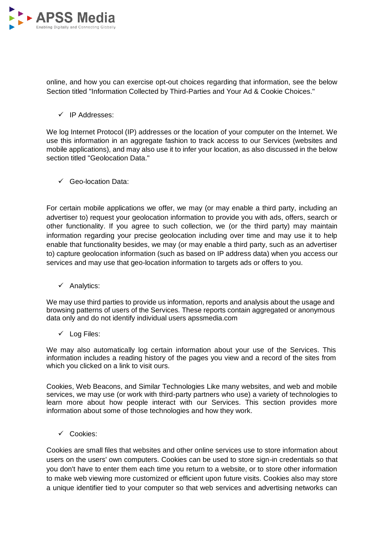

online, and how you can exercise opt-out choices regarding that information, see the below Section titled "Information Collected by Third-Parties and Your Ad & Cookie Choices."

 $\checkmark$  IP Addresses:

We log Internet Protocol (IP) addresses or the location of your computer on the Internet. We use this information in an aggregate fashion to track access to our Services (websites and mobile applications), and may also use it to infer your location, as also discussed in the below section titled "Geolocation Data."

Geo-location Data:

For certain mobile applications we offer, we may (or may enable a third party, including an advertiser to) request your geolocation information to provide you with ads, offers, search or other functionality. If you agree to such collection, we (or the third party) may maintain information regarding your precise geolocation including over time and may use it to help enable that functionality besides, we may (or may enable a third party, such as an advertiser to) capture geolocation information (such as based on IP address data) when you access our services and may use that geo-location information to targets ads or offers to you.

 $\checkmark$  Analytics:

We may use third parties to provide us information, reports and analysis about the usage and browsing patterns of users of the Services. These reports contain aggregated or anonymous data only and do not identify individual users apssmedia.com

 $\checkmark$  Log Files:

We may also automatically log certain information about your use of the Services. This information includes a reading history of the pages you view and a record of the sites from which you clicked on a link to visit ours.

Cookies, Web Beacons, and Similar Technologies Like many websites, and web and mobile services, we may use (or work with third-party partners who use) a variety of technologies to learn more about how people interact with our Services. This section provides more information about some of those technologies and how they work.

Cookies:

Cookies are small files that websites and other online services use to store information about users on the users' own computers. Cookies can be used to store sign-in credentials so that you don't have to enter them each time you return to a website, or to store other information to make web viewing more customized or efficient upon future visits. Cookies also may store a unique identifier tied to your computer so that web services and advertising networks can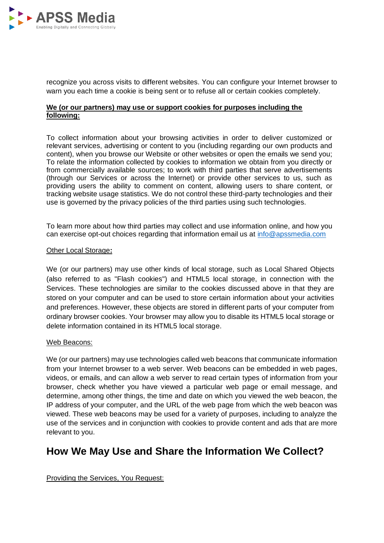

recognize you across visits to different websites. You can configure your Internet browser to warn you each time a cookie is being sent or to refuse all or certain cookies completely.

### **We (or our partners) may use or support cookies for purposes including the following:**

To collect information about your browsing activities in order to deliver customized or relevant services, advertising or content to you (including regarding our own products and content), when you browse our Website or other websites or open the emails we send you; To relate the information collected by cookies to information we obtain from you directly or from commercially available sources; to work with third parties that serve advertisements (through our Services or across the Internet) or provide other services to us, such as providing users the ability to comment on content, allowing users to share content, or tracking website usage statistics. We do not control these third-party technologies and their use is governed by the privacy policies of the third parties using such technologies.

To learn more about how third parties may collect and use information online, and how you can exercise opt-out choices regarding that information email us at [info@apssmedia.com](mailto:alert@apssmedia.com)

#### Other Local Storage**:**

We (or our partners) may use other kinds of local storage, such as Local Shared Objects (also referred to as "Flash cookies") and HTML5 local storage, in connection with the Services. These technologies are similar to the cookies discussed above in that they are stored on your computer and can be used to store certain information about your activities and preferences. However, these objects are stored in different parts of your computer from ordinary browser cookies. Your browser may allow you to disable its HTML5 local storage or delete information contained in its HTML5 local storage.

#### Web Beacons:

We (or our partners) may use technologies called web beacons that communicate information from your Internet browser to a web server. Web beacons can be embedded in web pages, videos, or emails, and can allow a web server to read certain types of information from your browser, check whether you have viewed a particular web page or email message, and determine, among other things, the time and date on which you viewed the web beacon, the IP address of your computer, and the URL of the web page from which the web beacon was viewed. These web beacons may be used for a variety of purposes, including to analyze the use of the services and in conjunction with cookies to provide content and ads that are more relevant to you.

# **How We May Use and Share the Information We Collect?**

Providing the Services, You Request: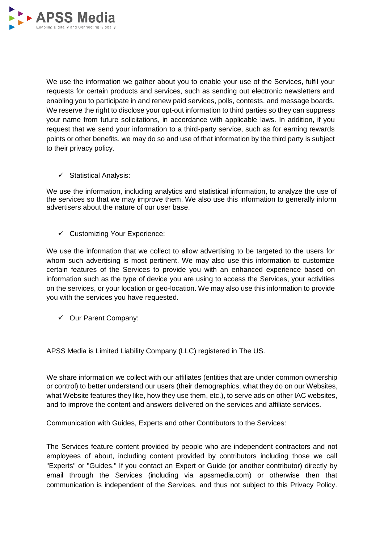

We use the information we gather about you to enable your use of the Services, fulfil your requests for certain products and services, such as sending out electronic newsletters and enabling you to participate in and renew paid services, polls, contests, and message boards. We reserve the right to disclose your opt-out information to third parties so they can suppress your name from future solicitations, in accordance with applicable laws. In addition, if you request that we send your information to a third-party service, such as for earning rewards points or other benefits, we may do so and use of that information by the third party is subject to their privacy policy.

 $\checkmark$  Statistical Analysis:

We use the information, including analytics and statistical information, to analyze the use of the services so that we may improve them. We also use this information to generally inform advertisers about the nature of our user base.

 $\checkmark$  Customizing Your Experience:

We use the information that we collect to allow advertising to be targeted to the users for whom such advertising is most pertinent. We may also use this information to customize certain features of the Services to provide you with an enhanced experience based on information such as the type of device you are using to access the Services, your activities on the services, or your location or geo-location. We may also use this information to provide you with the services you have requested.

 $\checkmark$  Our Parent Company:

APSS Media is Limited Liability Company (LLC) registered in The US.

We share information we collect with our affiliates (entities that are under common ownership or control) to better understand our users (their demographics, what they do on our Websites, what Website features they like, how they use them, etc.), to serve ads on other IAC websites, and to improve the content and answers delivered on the services and affiliate services.

Communication with Guides, Experts and other Contributors to the Services:

The Services feature content provided by people who are independent contractors and not employees of about, including content provided by contributors including those we call "Experts" or "Guides." If you contact an Expert or Guide (or another contributor) directly by email through the Services (including via apssmedia.com) or otherwise then that communication is independent of the Services, and thus not subject to this Privacy Policy.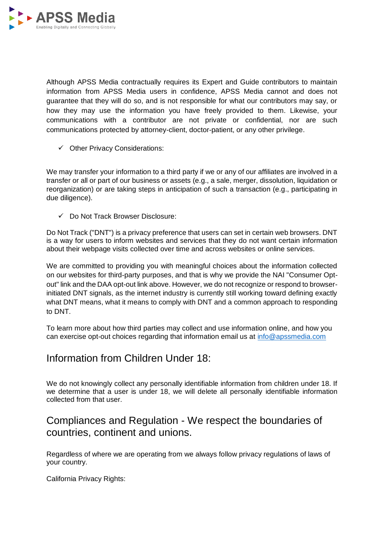

Although APSS Media contractually requires its Expert and Guide contributors to maintain information from APSS Media users in confidence, APSS Media cannot and does not guarantee that they will do so, and is not responsible for what our contributors may say, or how they may use the information you have freely provided to them. Likewise, your communications with a contributor are not private or confidential, nor are such communications protected by attorney-client, doctor-patient, or any other privilege.

 $\checkmark$  Other Privacy Considerations:

We may transfer your information to a third party if we or any of our affiliates are involved in a transfer or all or part of our business or assets (e.g., a sale, merger, dissolution, liquidation or reorganization) or are taking steps in anticipation of such a transaction (e.g., participating in due diligence).

Do Not Track Browser Disclosure:

Do Not Track ("DNT") is a privacy preference that users can set in certain web browsers. DNT is a way for users to inform websites and services that they do not want certain information about their webpage visits collected over time and across websites or online services.

We are committed to providing you with meaningful choices about the information collected on our websites for third-party purposes, and that is why we provide the NAI "Consumer Optout" link and the DAA opt-out link above. However, we do not recognize or respond to browserinitiated DNT signals, as the internet industry is currently still working toward defining exactly what DNT means, what it means to comply with DNT and a common approach to responding to DNT.

To learn more about how third parties may collect and use information online, and how you can exercise opt-out choices regarding that information email us at [info@apssmedia.com](mailto:alert@apssmedia.com)

## Information from Children Under 18:

We do not knowingly collect any personally identifiable information from children under 18. If we determine that a user is under 18, we will delete all personally identifiable information collected from that user.

## Compliances and Regulation - We respect the boundaries of countries, continent and unions.

Regardless of where we are operating from we always follow privacy regulations of laws of your country.

California Privacy Rights: